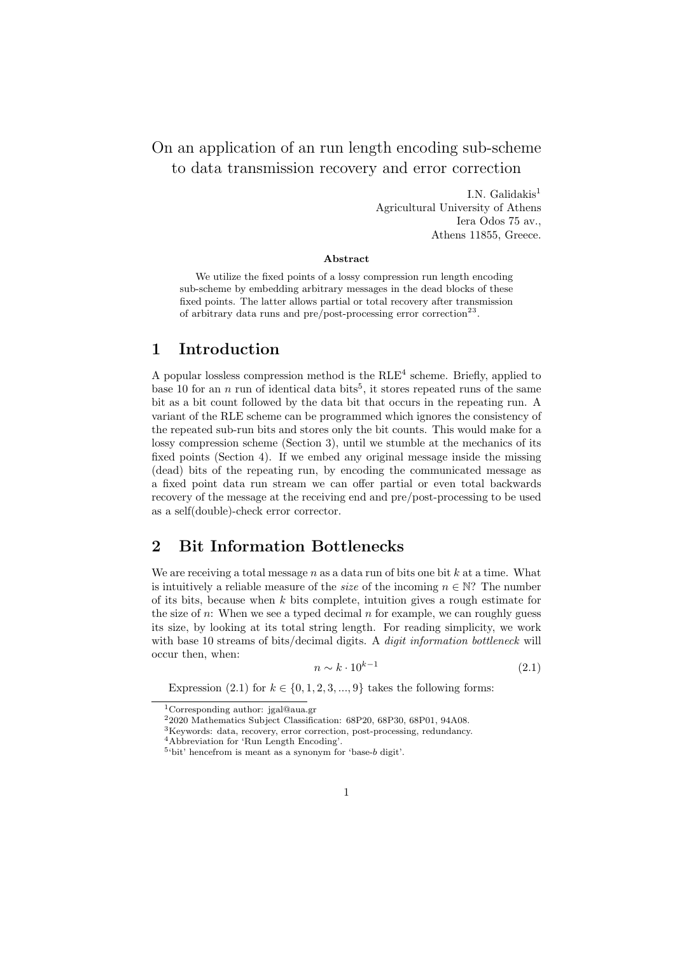# On an application of an run length encoding sub-scheme to data transmission recovery and error correction

I.N. Galidakis $<sup>1</sup>$ </sup> Agricultural University of Athens Iera Odos 75 av., Athens 11855, Greece.

#### **Abstract**

We utilize the fixed points of a lossy compression run length encoding sub-scheme by embedding arbitrary messages in the dead blocks of these fixed points. The latter allows partial or total recovery after transmission of arbitrary data runs and pre/post-processing error correction<sup>23</sup>.

#### **1 Introduction**

A popular lossless compression method is the  $RLE<sup>4</sup>$  scheme. Briefly, applied to base 10 for an  $n \text{ run of identical data bits}^5$ , it stores repeated runs of the same bit as a bit count followed by the data bit that occurs in the repeating run. A variant of the RLE scheme can be programmed which ignores the consistency of the repeated sub-run bits and stores only the bit counts. This would make for a lossy compression scheme (Section 3), until we stumble at the mechanics of its fixed points (Section 4). If we embed any original message inside the missing (dead) bits of the repeating run, by encoding the communicated message as a fixed point data run stream we can offer partial or even total backwards recovery of the message at the receiving end and pre/post-processing to be used as a self(double)-check error corrector.

## **2 Bit Information Bottlenecks**

We are receiving a total message *n* as a data run of bits one bit *k* at a time. What is intuitively a reliable measure of the *size* of the incoming  $n \in \mathbb{N}$ ? The number of its bits, because when *k* bits complete, intuition gives a rough estimate for the size of  $n$ : When we see a typed decimal  $n$  for example, we can roughly guess its size, by looking at its total string length. For reading simplicity, we work with base 10 streams of bits/decimal digits. A *digit information bottleneck* will occur then, when:

$$
n \sim k \cdot 10^{k-1} \tag{2.1}
$$

Expression (2.1) for  $k \in \{0, 1, 2, 3, ..., 9\}$  takes the following forms:

<sup>1</sup>Corresponding author: jgal@aua.gr

<sup>2</sup>2020 Mathematics Subject Classification: 68P20, 68P30, 68P01, 94A08.

<sup>3</sup>Keywords: data, recovery, error correction, post-processing, redundancy.

<sup>4</sup>Abbreviation for 'Run Length Encoding'.

<sup>5</sup> 'bit' hencefrom is meant as a synonym for 'base-*b* digit'.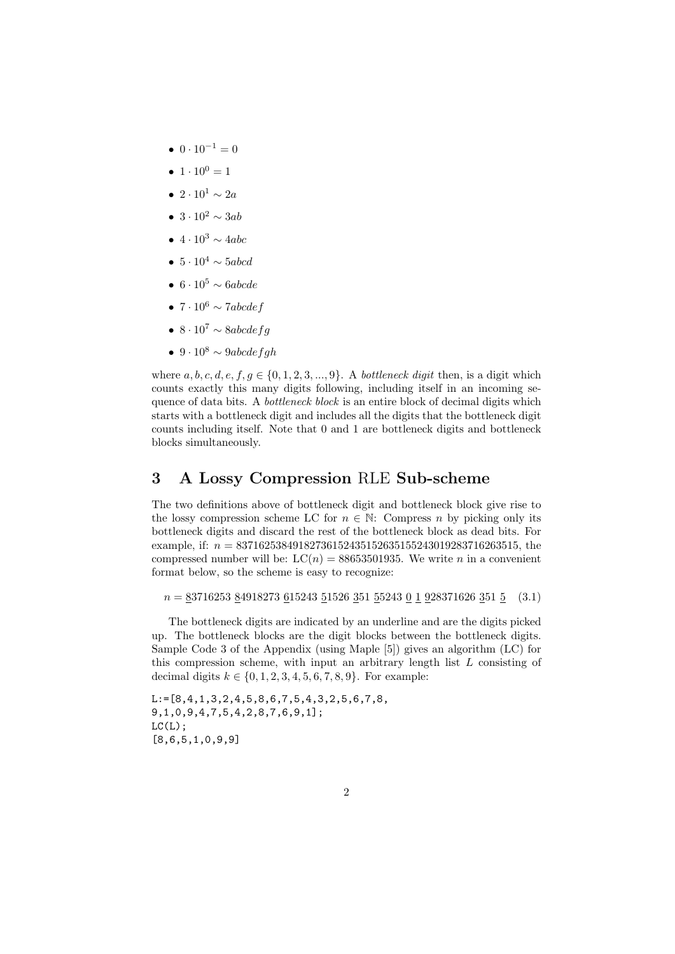- $0 \cdot 10^{-1} = 0$
- $1 \cdot 10^0 = 1$
- *•* 2 *·* 10<sup>1</sup> *∼* 2*a*
- *•* 3 *·* 10<sup>2</sup> *∼* 3*ab*
- *•* 4 *·* 10<sup>3</sup> *∼* 4*abc*
- *•* 5 *·* 10<sup>4</sup> *∼* 5*abcd*
- *•* 6 *·* 10<sup>5</sup> *∼* 6*abcde*
- *•* 7 *·* 10<sup>6</sup> *∼* 7*abcdef*
- *•* 8 *·* 10<sup>7</sup> *∼* 8*abcdefg*
- *•* 9 *·* 10<sup>8</sup> *∼* 9*abcdefgh*

where  $a, b, c, d, e, f, g \in \{0, 1, 2, 3, \ldots, 9\}$ . A *bottleneck digit* then, is a digit which counts exactly this many digits following, including itself in an incoming sequence of data bits. A *bottleneck block* is an entire block of decimal digits which starts with a bottleneck digit and includes all the digits that the bottleneck digit counts including itself. Note that 0 and 1 are bottleneck digits and bottleneck blocks simultaneously.

#### **3 A Lossy Compression** RLE **Sub-scheme**

The two definitions above of bottleneck digit and bottleneck block give rise to the lossy compression scheme LC for  $n \in \mathbb{N}$ : Compress *n* by picking only its bottleneck digits and discard the rest of the bottleneck block as dead bits. For example, if: *n* = 83716253849182736152435152635155243019283716263515, the compressed number will be:  $LC(n) = 88653501935$ . We write *n* in a convenient format below, so the scheme is easy to recognize:

*n* = 83716253 84918273 615243 51526 351 55243 0 1 928371626 351 5 (3.1)

The bottleneck digits are indicated by an underline and are the digits picked up. The bottleneck blocks are the digit blocks between the bottleneck digits. Sample Code 3 of the Appendix (using Maple [5]) gives an algorithm (LC) for this compression scheme, with input an arbitrary length list *L* consisting of decimal digits  $k \in \{0, 1, 2, 3, 4, 5, 6, 7, 8, 9\}$ . For example:

L:=[8,4,1,3,2,4,5,8,6,7,5,4,3,2,5,6,7,8, 9,1,0,9,4,7,5,4,2,8,7,6,9,1];  $LC(L)$ ; [8,6,5,1,0,9,9]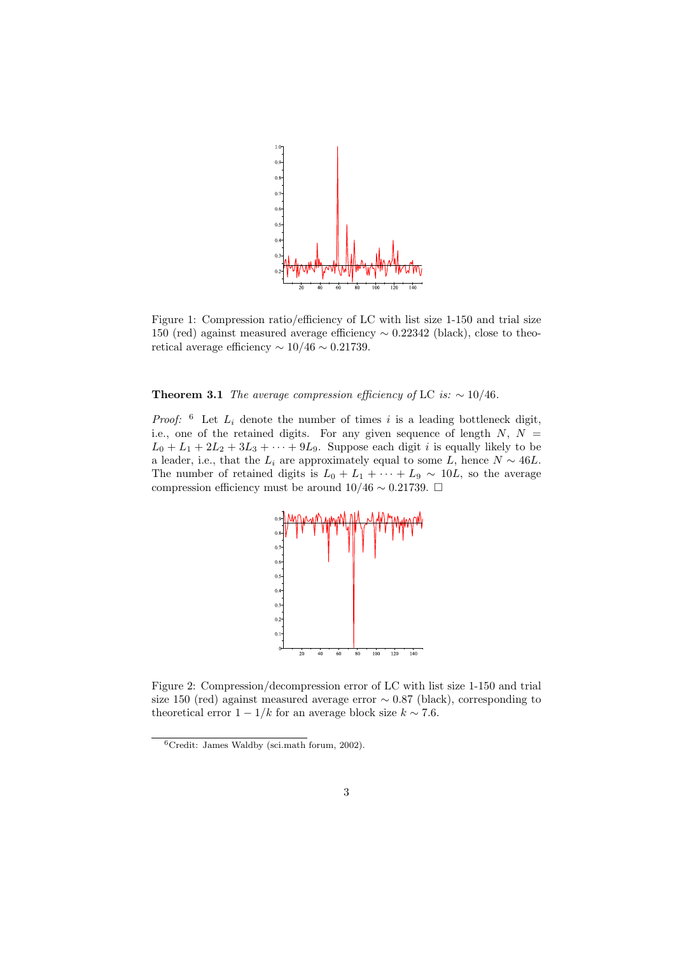

Figure 1: Compression ratio/efficiency of LC with list size 1-150 and trial size 150 (red) against measured average efficiency *∼* 0*.*22342 (black), close to theoretical average efficiency *∼* 10*/*46 *∼* 0*.*21739.

**Theorem 3.1** *The average compression efficiency of* LC *is:*  $\sim 10/46$ *.* 

*Proof:*  $6$  Let  $L_i$  denote the number of times *i* is a leading bottleneck digit, i.e., one of the retained digits. For any given sequence of length *N*, *N* =  $L_0 + L_1 + 2L_2 + 3L_3 + \cdots + 9L_9$ . Suppose each digit *i* is equally likely to be a leader, i.e., that the  $L_i$  are approximately equal to some  $L$ , hence  $N \sim 46L$ . The number of retained digits is  $L_0 + L_1 + \cdots + L_9 \sim 10L$ , so the average compression efficiency must be around  $10/46 \sim 0.21739$ . □



Figure 2: Compression/decompression error of LC with list size 1-150 and trial size 150 (red) against measured average error *∼* 0*.*87 (black), corresponding to theoretical error  $1 - 1/k$  for an average block size  $k \sim 7.6$ .

<sup>6</sup>Credit: James Waldby (sci.math forum, 2002).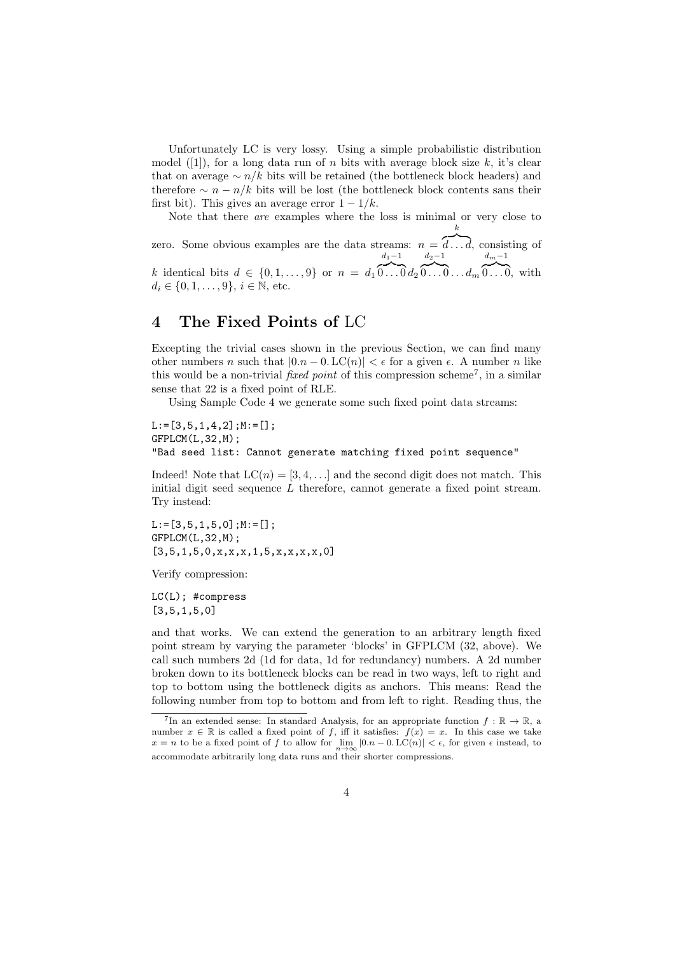Unfortunately LC is very lossy. Using a simple probabilistic distribution model  $([1])$ , for a long data run of *n* bits with average block size *k*, it's clear that on average *∼ n/k* bits will be retained (the bottleneck block headers) and therefore  $\sim n - n/k$  bits will be lost (the bottleneck block contents sans their first bit). This gives an average error  $1 - 1/k$ .

Note that there *are* examples where the loss is minimal or very close to *k*

zero. Some obvious examples are the data streams:  $n = \overline{d \dots d}$ , consisting of *k* identical bits  $d \in \{0, 1, \ldots, 9\}$  or  $n = d_1$ *d*1*−*1  ${\color{red} \widetilde{0...0}}{d_2}$ *d*2*−*1  ${\color{black}\widetilde{\mathbb{0}\dots\mathbb{0}\dots d}}_{m}$ *dm−*1  ${\overline{0 \ldots 0}}, \text{ with}$  $d_i$  ∈ {0, 1, . . . , 9},  $i$  ∈ N, etc.

#### **4 The Fixed Points of** LC

Excepting the trivial cases shown in the previous Section, we can find many other numbers *n* such that  $|0.n - 0$ . LC $(n)| < \epsilon$  for a given  $\epsilon$ . A number *n* like this would be a non-trivial *fixed point* of this compression scheme<sup>7</sup>, in a similar sense that 22 is a fixed point of RLE.

Using Sample Code 4 we generate some such fixed point data streams:

 $L:=[3,5,1,4,2]$ ;  $M:=[]$ ; GFPLCM(L,32,M); "Bad seed list: Cannot generate matching fixed point sequence"

Indeed! Note that  $LC(n) = [3, 4, \ldots]$  and the second digit does not match. This initial digit seed sequence *L* therefore, cannot generate a fixed point stream. Try instead:

L:=[3,5,1,5,0];M:=[]; GFPLCM(L,32,M);  $[3,5,1,5,0,x,x,x,1,5,x,x,x,x,0]$ 

Verify compression:

LC(L); #compress  $[3,5,1,5,0]$ 

and that works. We can extend the generation to an arbitrary length fixed point stream by varying the parameter 'blocks' in GFPLCM (32, above). We call such numbers 2d (1d for data, 1d for redundancy) numbers. A 2d number broken down to its bottleneck blocks can be read in two ways, left to right and top to bottom using the bottleneck digits as anchors. This means: Read the following number from top to bottom and from left to right. Reading thus, the

<sup>&</sup>lt;sup>7</sup>In an extended sense: In standard Analysis, for an appropriate function  $f : \mathbb{R} \to \mathbb{R}$ , a number  $x \in \mathbb{R}$  is called a fixed point of *f*, iff it satisfies:  $f(x) = x$ . In this case we take *x* = *n* to be a fixed point of *f* to allow for  $\lim_{n\to\infty}$  |0*.n* − 0*.* LC(*n*)| <  $\epsilon$ , for given  $\epsilon$  instead, to accommodate arbitrarily long data runs and their shorter compressions.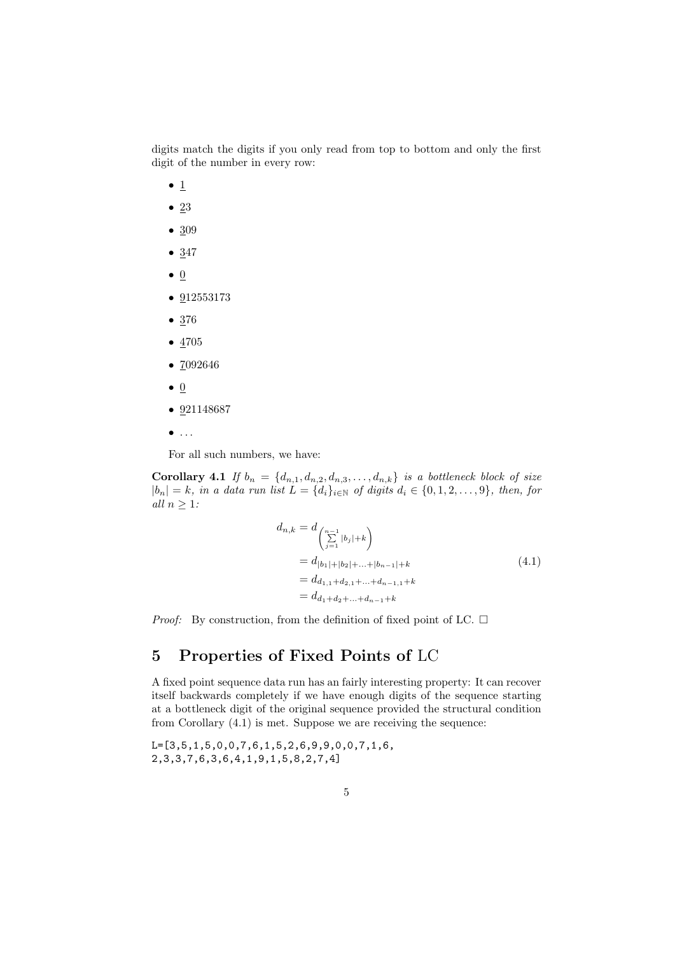digits match the digits if you only read from top to bottom and only the first digit of the number in every row:

- 1
- *•* 23
- *•* 309
- 347
- *•* 0
- *•* 912553173
- *•* 376
- *•* 4705
- *•* 7092646
- *•* 0
- *•* 921148687
- *• . . .*

For all such numbers, we have:

**Corollary 4.1** *If*  $b_n = \{d_{n,1}, d_{n,2}, d_{n,3}, \ldots, d_{n,k}\}$  *is a bottleneck block of size*  $|b_n|=k$ , in a data run list  $L = \{d_i\}_{i\in\mathbb{N}}$  of digits  $d_i \in \{0,1,2,\ldots,9\}$ , then, for *all*  $n \geq 1$ *:* 

$$
d_{n,k} = d_{\begin{pmatrix} n-1 \\ \sum_{j=1}^{n} |b_j|+k \end{pmatrix}}\n= d_{|b_1|+|b_2|+...+|b_{n-1}|+k}\n= d_{d_{1,1}+d_{2,1}+...+d_{n-1,1}+k}\n= d_{d_1+d_2+...+d_{n-1}+k}
$$
\n(4.1)

*Proof:* By construction, from the definition of fixed point of LC.  $\Box$ 

## **5 Properties of Fixed Points of** LC

A fixed point sequence data run has an fairly interesting property: It can recover itself backwards completely if we have enough digits of the sequence starting at a bottleneck digit of the original sequence provided the structural condition from Corollary (4.1) is met. Suppose we are receiving the sequence:

L=[3,5,1,5,0,0,7,6,1,5,2,6,9,9,0,0,7,1,6, 2,3,3,7,6,3,6,4,1,9,1,5,8,2,7,4]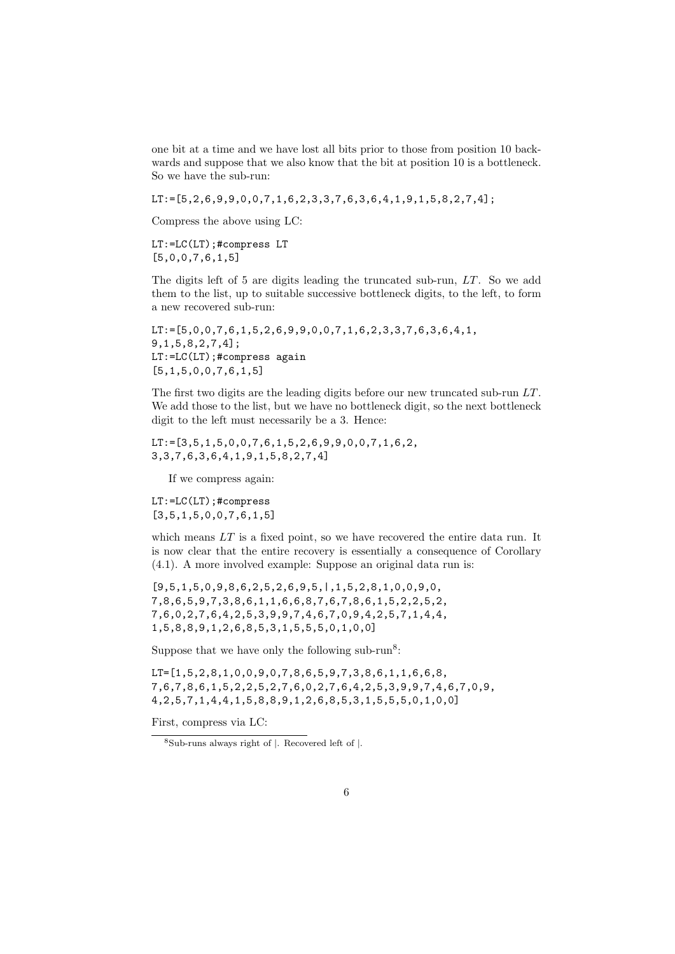one bit at a time and we have lost all bits prior to those from position 10 backwards and suppose that we also know that the bit at position 10 is a bottleneck. So we have the sub-run:

LT:=[5,2,6,9,9,0,0,7,1,6,2,3,3,7,6,3,6,4,1,9,1,5,8,2,7,4];

Compress the above using LC:

LT:=LC(LT);#compress LT [5,0,0,7,6,1,5]

The digits left of 5 are digits leading the truncated sub-run, *LT*. So we add them to the list, up to suitable successive bottleneck digits, to the left, to form a new recovered sub-run:

 $LT:=[5,0,0,7,6,1,5,2,6,9,9,0,0,7,1,6,2,3,3,7,6,3,6,4,1,$ 9,1,5,8,2,7,4]; LT:=LC(LT);#compress again [5,1,5,0,0,7,6,1,5]

The first two digits are the leading digits before our new truncated sub-run *LT*. We add those to the list, but we have no bottleneck digit, so the next bottleneck digit to the left must necessarily be a 3. Hence:

 $LT:=[3,5,1,5,0,0,7,6,1,5,2,6,9,9,0,0,7,1,6,2,$ 3,3,7,6,3,6,4,1,9,1,5,8,2,7,4]

If we compress again:

LT:=LC(LT);#compress  $[3,5,1,5,0,0,7,6,1,5]$ 

which means *LT* is a fixed point, so we have recovered the entire data run. It is now clear that the entire recovery is essentially a consequence of Corollary (4.1). A more involved example: Suppose an original data run is:

[9,5,1,5,0,9,8,6,2,5,2,6,9,5,|,1,5,2,8,1,0,0,9,0, 7,8,6,5,9,7,3,8,6,1,1,6,6,8,7,6,7,8,6,1,5,2,2,5,2, 7,6,0,2,7,6,4,2,5,3,9,9,7,4,6,7,0,9,4,2,5,7,1,4,4, 1,5,8,8,9,1,2,6,8,5,3,1,5,5,5,0,1,0,0]

Suppose that we have only the following sub-run<sup>8</sup>:

LT=[1,5,2,8,1,0,0,9,0,7,8,6,5,9,7,3,8,6,1,1,6,6,8, 7,6,7,8,6,1,5,2,2,5,2,7,6,0,2,7,6,4,2,5,3,9,9,7,4,6,7,0,9, 4,2,5,7,1,4,4,1,5,8,8,9,1,2,6,8,5,3,1,5,5,5,0,1,0,0]

First, compress via LC:

<sup>8</sup>Sub-runs always right of *|*. Recovered left of *|*.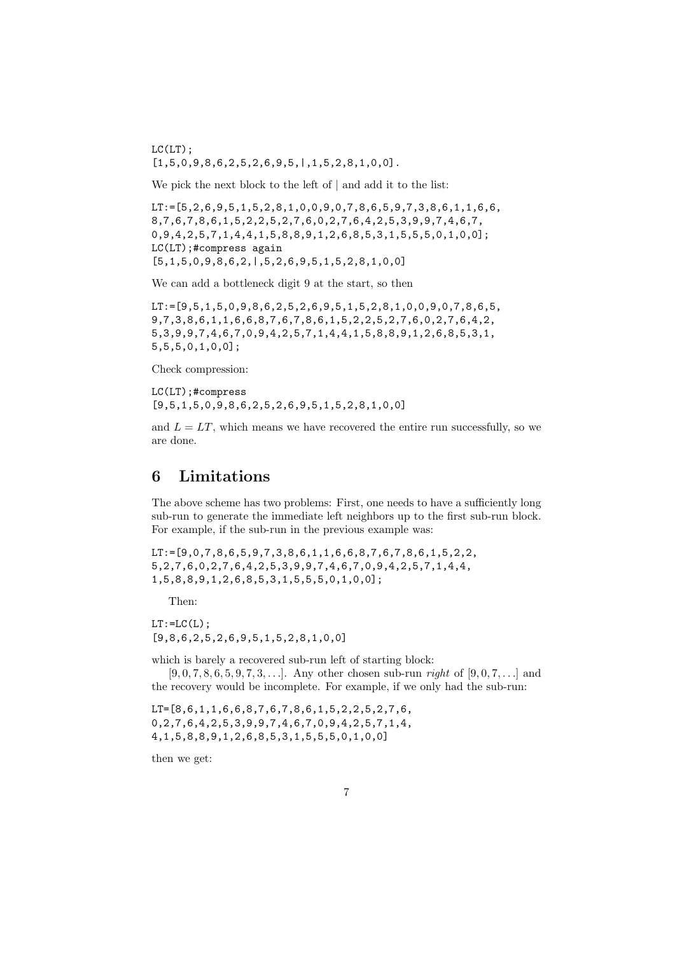$LC(LT)$ ;  $[1,5,0,9,8,6,2,5,2,6,9,5,1,1,5,2,8,1,0,0]$ .

We pick the next block to the left of *|* and add it to the list:

 $LT:=[5,2,6,9,5,1,5,2,8,1,0,0,9,0,7,8,6,5,9,7,3,8,6,1,1,6,6,$ 8,7,6,7,8,6,1,5,2,2,5,2,7,6,0,2,7,6,4,2,5,3,9,9,7,4,6,7, 0,9,4,2,5,7,1,4,4,1,5,8,8,9,1,2,6,8,5,3,1,5,5,5,0,1,0,0]; LC(LT);#compress again [5,1,5,0,9,8,6,2,|,5,2,6,9,5,1,5,2,8,1,0,0]

We can add a bottleneck digit 9 at the start, so then

LT:=[9,5,1,5,0,9,8,6,2,5,2,6,9,5,1,5,2,8,1,0,0,9,0,7,8,6,5, 9,7,3,8,6,1,1,6,6,8,7,6,7,8,6,1,5,2,2,5,2,7,6,0,2,7,6,4,2, 5,3,9,9,7,4,6,7,0,9,4,2,5,7,1,4,4,1,5,8,8,9,1,2,6,8,5,3,1, 5,5,5,0,1,0,0];

Check compression:

LC(LT);#compress  $[9,5,1,5,0,9,8,6,2,5,2,6,9,5,1,5,2,8,1,0,0]$ 

and  $L = LT$ , which means we have recovered the entire run successfully, so we are done.

## **6 Limitations**

The above scheme has two problems: First, one needs to have a sufficiently long sub-run to generate the immediate left neighbors up to the first sub-run block. For example, if the sub-run in the previous example was:

 $LT:=[9,0,7,8,6,5,9,7,3,8,6,1,1,6,6,8,7,6,7,8,6,1,5,2,2,$ 5,2,7,6,0,2,7,6,4,2,5,3,9,9,7,4,6,7,0,9,4,2,5,7,1,4,4, 1,5,8,8,9,1,2,6,8,5,3,1,5,5,5,0,1,0,0];

Then:

 $LT:=LC(L)$ : [9,8,6,2,5,2,6,9,5,1,5,2,8,1,0,0]

which is barely a recovered sub-run left of starting block:

[9*,* 0*,* 7*,* 8*,* 6*,* 5*,* 9*,* 7*,* 3*, . . .*]. Any other chosen sub-run *right* of [9*,* 0*,* 7*, . . .*] and the recovery would be incomplete. For example, if we only had the sub-run:

LT=[8,6,1,1,6,6,8,7,6,7,8,6,1,5,2,2,5,2,7,6, 0,2,7,6,4,2,5,3,9,9,7,4,6,7,0,9,4,2,5,7,1,4, 4,1,5,8,8,9,1,2,6,8,5,3,1,5,5,5,0,1,0,0]

then we get: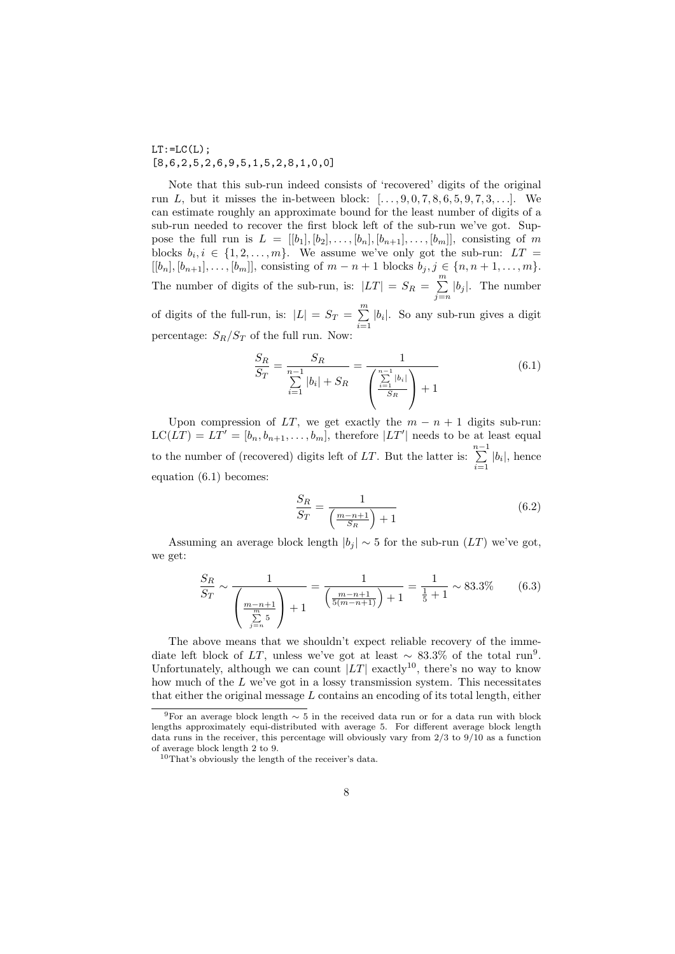$LT:=LC(L)$ ;  $[8,6,2,5,2,6,9,5,1,5,2,8,1,0,0]$ 

Note that this sub-run indeed consists of 'recovered' digits of the original run *L*, but it misses the in-between block: [*. . . ,* 9*,* 0*,* 7*,* 8*,* 6*,* 5*,* 9*,* 7*,* 3*, . . .*]. We can estimate roughly an approximate bound for the least number of digits of a sub-run needed to recover the first block left of the sub-run we've got. Suppose the full run is  $L = [[b_1], [b_2], \ldots, [b_n], [b_{n+1}], \ldots, [b_m]]$ , consisting of *m* blocks  $b_i, i \in \{1, 2, \ldots, m\}$ . We assume we've only got the sub-run:  $LT =$ [[ $b_n$ ],  $[b_{n+1}]$ , ...,  $[b_m]$ ], consisting of  $m - n + 1$  blocks  $b_j, j \in \{n, n + 1, \ldots, m\}$ . The number of digits of the sub-run, is:  $|LT| = S_R = \sum_{j=n}^{m} |b_j|$ . The number of digits of the full-run, is:  $|L| = S_T = \sum_{i=1}^{m} |b_i|$ . So any sub-run gives a digit percentage:  $S_R/S_T$  of the full run. Now:

$$
\frac{S_R}{S_T} = \frac{S_R}{\sum_{i=1}^{n-1} |b_i| + S_R} = \frac{1}{\left(\sum_{\frac{i=1}{S_R}}^{\frac{n-1}{2}} |b_i| \right) + 1} \tag{6.1}
$$

Upon compression of *LT*, we get exactly the  $m - n + 1$  digits sub-run:  $LC(LT) = LT' = [b_n, b_{n+1}, \ldots, b_m]$ , therefore  $|LT'|$  needs to be at least equal to the number of (recovered) digits left of *LT*. But the latter is:  $\sum_{i=1}^{n-1} |b_i|$ , hence equation (6.1) becomes:

$$
\frac{S_R}{S_T} = \frac{1}{\left(\frac{m-n+1}{S_R}\right) + 1} \tag{6.2}
$$

Assuming an average block length  $|b_j| \sim 5$  for the sub-run  $(LT)$  we've got, we get:

$$
\frac{S_R}{S_T} \sim \frac{1}{\left(\frac{m-n+1}{\sum_{j=n}^m 5}\right) + 1} = \frac{1}{\left(\frac{m-n+1}{5(m-n+1)}\right) + 1} = \frac{1}{\frac{1}{5} + 1} \sim 83.3\% \tag{6.3}
$$

The above means that we shouldn't expect reliable recovery of the immediate left block of *LT*, unless we've got at least  $\sim 83.3\%$  of the total run<sup>9</sup>. Unfortunately, although we can count  $|LT|$  exactly<sup>10</sup>, there's no way to know how much of the *L* we've got in a lossy transmission system. This necessitates that either the original message *L* contains an encoding of its total length, either

<sup>9</sup>For an average block length *∼* 5 in the received data run or for a data run with block lengths approximately equi-distributed with average 5. For different average block length data runs in the receiver, this percentage will obviously vary from  $2/3$  to  $9/10$  as a function of average block length 2 to 9.

<sup>10</sup>That's obviously the length of the receiver's data.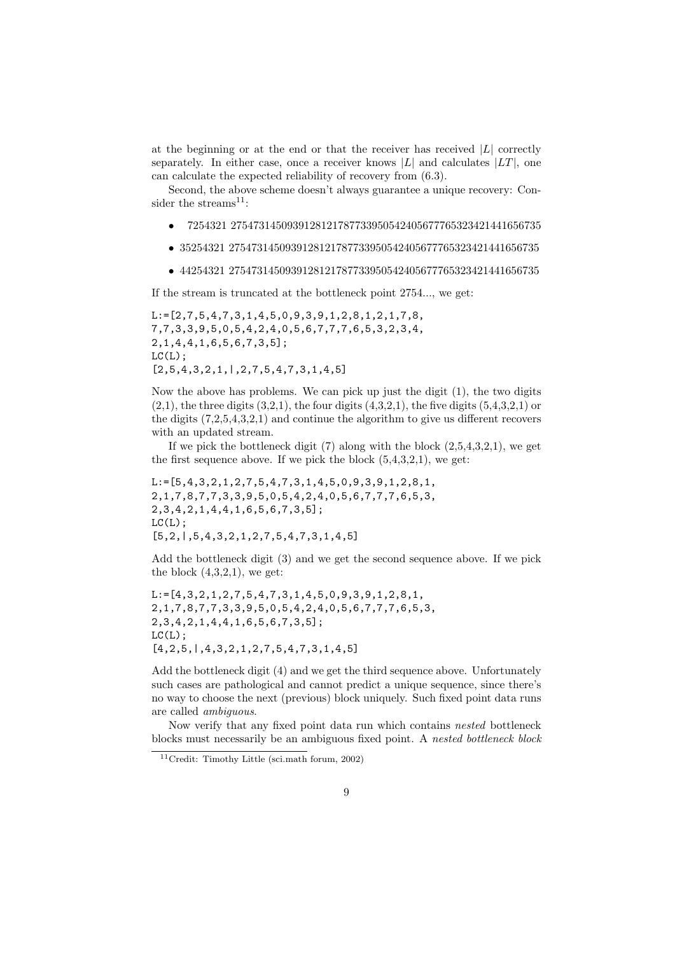at the beginning or at the end or that the receiver has received  $|L|$  correctly separately. In either case, once a receiver knows  $|L|$  and calculates  $|LT|$ , one can calculate the expected reliability of recovery from (6.3).

Second, the above scheme doesn't always guarantee a unique recovery: Consider the streams $^{11}$ :

- *•* 7254321 2754731450939128121787733950542405677765323421441656735
- *•* 35254321 2754731450939128121787733950542405677765323421441656735
- *•* 44254321 2754731450939128121787733950542405677765323421441656735

If the stream is truncated at the bottleneck point 2754..., we get:

L:=[2,7,5,4,7,3,1,4,5,0,9,3,9,1,2,8,1,2,1,7,8, 7,7,3,3,9,5,0,5,4,2,4,0,5,6,7,7,7,6,5,3,2,3,4, 2,1,4,4,1,6,5,6,7,3,5];  $LC(L)$ :  $[2,5,4,3,2,1,1,2,7,5,4,7,3,1,4,5]$ 

Now the above has problems. We can pick up just the digit (1), the two digits  $(2,1)$ , the three digits  $(3,2,1)$ , the four digits  $(4,3,2,1)$ , the five digits  $(5,4,3,2,1)$  or the digits (7,2,5,4,3,2,1) and continue the algorithm to give us different recovers with an updated stream.

If we pick the bottleneck digit  $(7)$  along with the block  $(2,5,4,3,2,1)$ , we get the first sequence above. If we pick the block  $(5,4,3,2,1)$ , we get:

L:=[5,4,3,2,1,2,7,5,4,7,3,1,4,5,0,9,3,9,1,2,8,1, 2,1,7,8,7,7,3,3,9,5,0,5,4,2,4,0,5,6,7,7,7,6,5,3, 2,3,4,2,1,4,4,1,6,5,6,7,3,5];  $LC(L)$ ;  $[5,2,1,5,4,3,2,1,2,7,5,4,7,3,1,4,5]$ 

Add the bottleneck digit (3) and we get the second sequence above. If we pick the block  $(4,3,2,1)$ , we get:

```
L:=[4,3,2,1,2,7,5,4,7,3,1,4,5,0,9,3,9,1,2,8,1,2,1,7,8,7,7,3,3,9,5,0,5,4,2,4,0,5,6,7,7,7,6,5,3,
2,3,4,2,1,4,4,1,6,5,6,7,3,5];
LC(L);
[4,2,5,1,4,3,2,1,2,7,5,4,7,3,1,4,5]
```
Add the bottleneck digit (4) and we get the third sequence above. Unfortunately such cases are pathological and cannot predict a unique sequence, since there's no way to choose the next (previous) block uniquely. Such fixed point data runs are called *ambiguous*.

Now verify that any fixed point data run which contains *nested* bottleneck blocks must necessarily be an ambiguous fixed point. A *nested bottleneck block*

<sup>11</sup>Credit: Timothy Little (sci.math forum, 2002)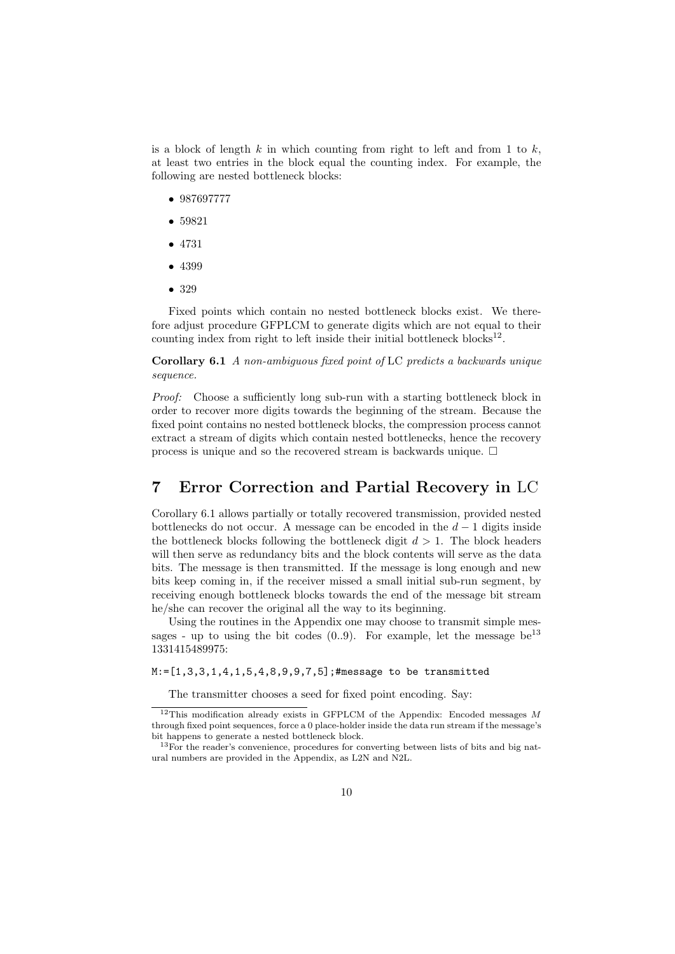is a block of length *k* in which counting from right to left and from 1 to *k*, at least two entries in the block equal the counting index. For example, the following are nested bottleneck blocks:

- *•* 987697777
- *•* 59821
- *•* 4731
- *•* 4399
- *•* 329

Fixed points which contain no nested bottleneck blocks exist. We therefore adjust procedure GFPLCM to generate digits which are not equal to their counting index from right to left inside their initial bottleneck blocks<sup>12</sup>.

**Corollary 6.1** *A non-ambiguous fixed point of* LC *predicts a backwards unique sequence.*

*Proof:* Choose a sufficiently long sub-run with a starting bottleneck block in order to recover more digits towards the beginning of the stream. Because the fixed point contains no nested bottleneck blocks, the compression process cannot extract a stream of digits which contain nested bottlenecks, hence the recovery process is unique and so the recovered stream is backwards unique.  $\Box$ 

## **7 Error Correction and Partial Recovery in** LC

Corollary 6.1 allows partially or totally recovered transmission, provided nested bottlenecks do not occur. A message can be encoded in the  $d-1$  digits inside the bottleneck blocks following the bottleneck digit  $d > 1$ . The block headers will then serve as redundancy bits and the block contents will serve as the data bits. The message is then transmitted. If the message is long enough and new bits keep coming in, if the receiver missed a small initial sub-run segment, by receiving enough bottleneck blocks towards the end of the message bit stream he/she can recover the original all the way to its beginning.

Using the routines in the Appendix one may choose to transmit simple messages - up to using the bit codes  $(0.9)$ . For example, let the message be<sup>13</sup> 1331415489975:

M:=[1,3,3,1,4,1,5,4,8,9,9,7,5];#message to be transmitted

The transmitter chooses a seed for fixed point encoding. Say:

<sup>12</sup>This modification already exists in GFPLCM of the Appendix: Encoded messages *M* through fixed point sequences, force a 0 place-holder inside the data run stream if the message's bit happens to generate a nested bottleneck block.

<sup>&</sup>lt;sup>13</sup>For the reader's convenience, procedures for converting between lists of bits and big natural numbers are provided in the Appendix, as L2N and N2L.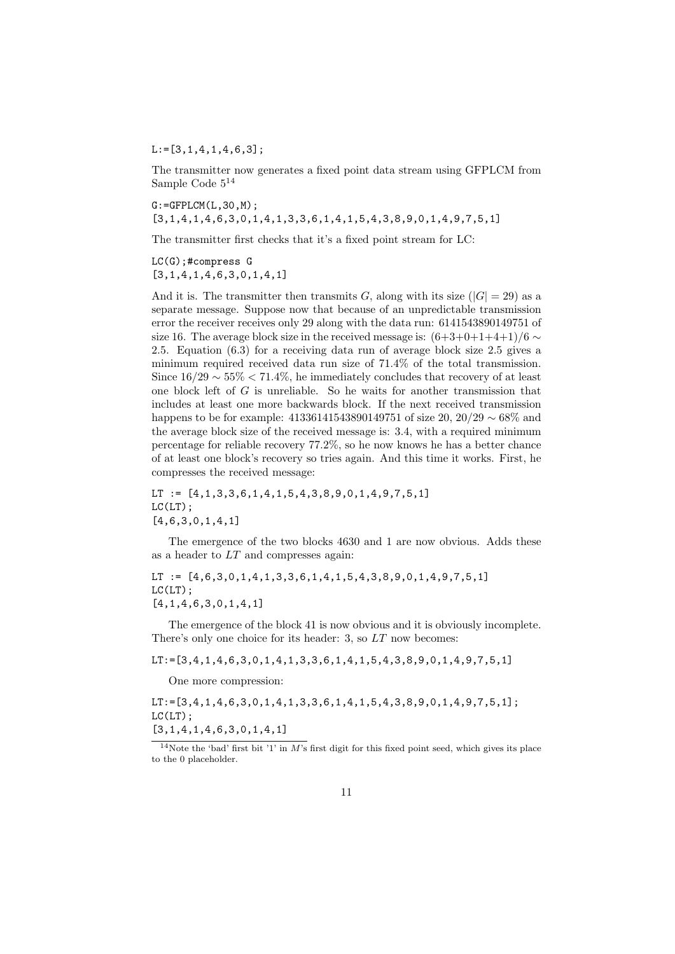$L:=[3,1,4,1,4,6,3]$ ;

The transmitter now generates a fixed point data stream using GFPLCM from Sample Code 5<sup>14</sup>

 $G:=GFPLCM(L,30,M);$ [3,1,4,1,4,6,3,0,1,4,1,3,3,6,1,4,1,5,4,3,8,9,0,1,4,9,7,5,1]

The transmitter first checks that it's a fixed point stream for LC:

LC(G);#compress G  $[3,1,4,1,4,6,3,0,1,4,1]$ 

And it is. The transmitter then transmits *G*, along with its size  $(|G| = 29)$  as a separate message. Suppose now that because of an unpredictable transmission error the receiver receives only 29 along with the data run: 6141543890149751 of size 16. The average block size in the received message is:  $(6+3+0+1+4+1)/6 \sim$ 2*.*5. Equation (6.3) for a receiving data run of average block size 2.5 gives a minimum required received data run size of 71*.*4% of the total transmission. Since 16*/*29 *∼* 55% *<* 71*.*4%, he immediately concludes that recovery of at least one block left of *G* is unreliable. So he waits for another transmission that includes at least one more backwards block. If the next received transmission happens to be for example: 41336141543890149751 of size 20, 20*/*29 *∼* 68% and the average block size of the received message is: 3.4, with a required minimum percentage for reliable recovery 77*.*2%, so he now knows he has a better chance of at least one block's recovery so tries again. And this time it works. First, he compresses the received message:

LT :=  $[4,1,3,3,6,1,4,1,5,4,3,8,9,0,1,4,9,7,5,1]$  $LC(LT)$ ; [4,6,3,0,1,4,1]

The emergence of the two blocks 4630 and 1 are now obvious. Adds these as a header to *LT* and compresses again:

LT :=  $[4,6,3,0,1,4,1,3,3,6,1,4,1,5,4,3,8,9,0,1,4,9,7,5,1]$  $LC(LT)$ ; [4,1,4,6,3,0,1,4,1]

The emergence of the block 41 is now obvious and it is obviously incomplete. There's only one choice for its header: 3, so *LT* now becomes:

LT: = [3, 4, 1, 4, 6, 3, 0, 1, 4, 1, 3, 3, 6, 1, 4, 1, 5, 4, 3, 8, 9, 0, 1, 4, 9, 7, 5, 1]

One more compression:

 $LT:=[3,4,1,4,6,3,0,1,4,1,3,3,6,1,4,1,5,4,3,8,9,0,1,4,9,7,5,1];$  $LC(LT)$ ;  $[3,1,4,1,4,6,3,0,1,4,1]$ 

<sup>&</sup>lt;sup>14</sup>Note the 'bad' first bit '1' in *M*'s first digit for this fixed point seed, which gives its place to the 0 placeholder.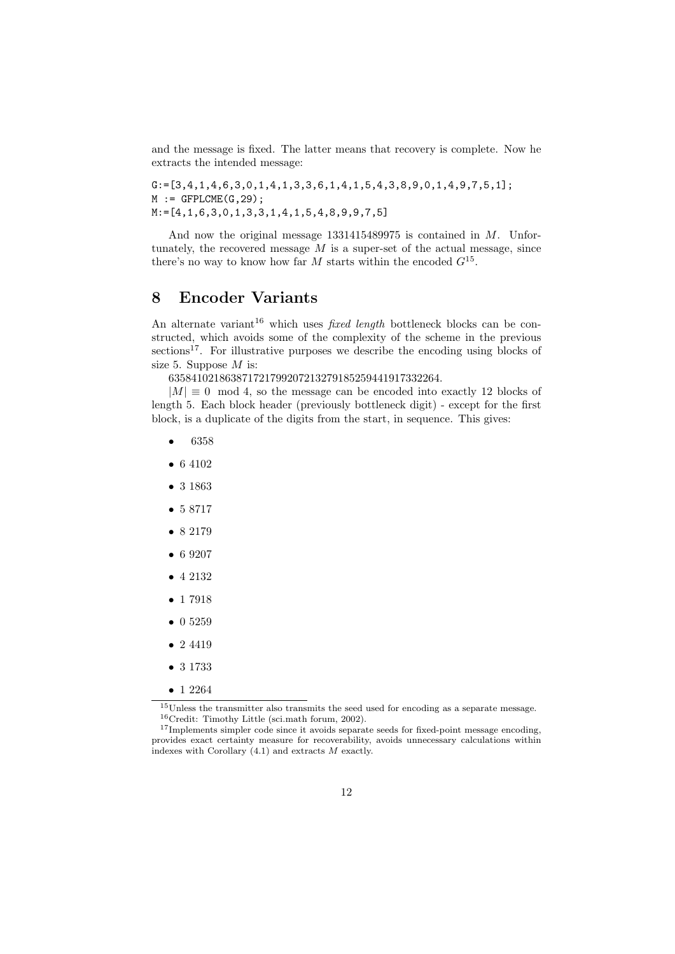and the message is fixed. The latter means that recovery is complete. Now he extracts the intended message:

 $G:=[3,4,1,4,6,3,0,1,4,1,3,3,6,1,4,1,5,4,3,8,9,0,1,4,9,7,5,1];$  $M := GFPLCME(G, 29)$ ; M:=[4,1,6,3,0,1,3,3,1,4,1,5,4,8,9,9,7,5]

And now the original message 1331415489975 is contained in *M*. Unfortunately, the recovered message *M* is a super-set of the actual message, since there's no way to know how far *M* starts within the encoded *G*<sup>15</sup> .

## **8 Encoder Variants**

An alternate variant<sup>16</sup> which uses *fixed length* bottleneck blocks can be constructed, which avoids some of the complexity of the scheme in the previous sections<sup>17</sup>. For illustrative purposes we describe the encoding using blocks of size 5. Suppose *M* is:

635841021863871721799207213279185259441917332264.

 $|M| \equiv 0 \mod 4$ , so the message can be encoded into exactly 12 blocks of length 5. Each block header (previously bottleneck digit) - except for the first block, is a duplicate of the digits from the start, in sequence. This gives:

- *•* 6358
- *•* 6 4102
- *•* 3 1863
- *•* 5 8717
- *•* 8 2179
- *•* 6 9207
- *•* 4 2132
- *•* 1 7918
- *•* 0 5259
- *•* 2 4419
- *•* 3 1733
- *•* 1 2264

 $^{15}\rm{Unless}$  the transmitter also transmits the seed used for encoding as a separate message. <sup>16</sup>Credit: Timothy Little (sci.math forum, 2002).

<sup>&</sup>lt;sup>17</sup>Implements simpler code since it avoids separate seeds for fixed-point message encoding, provides exact certainty measure for recoverability, avoids unnecessary calculations within indexes with Corollary (4.1) and extracts *M* exactly.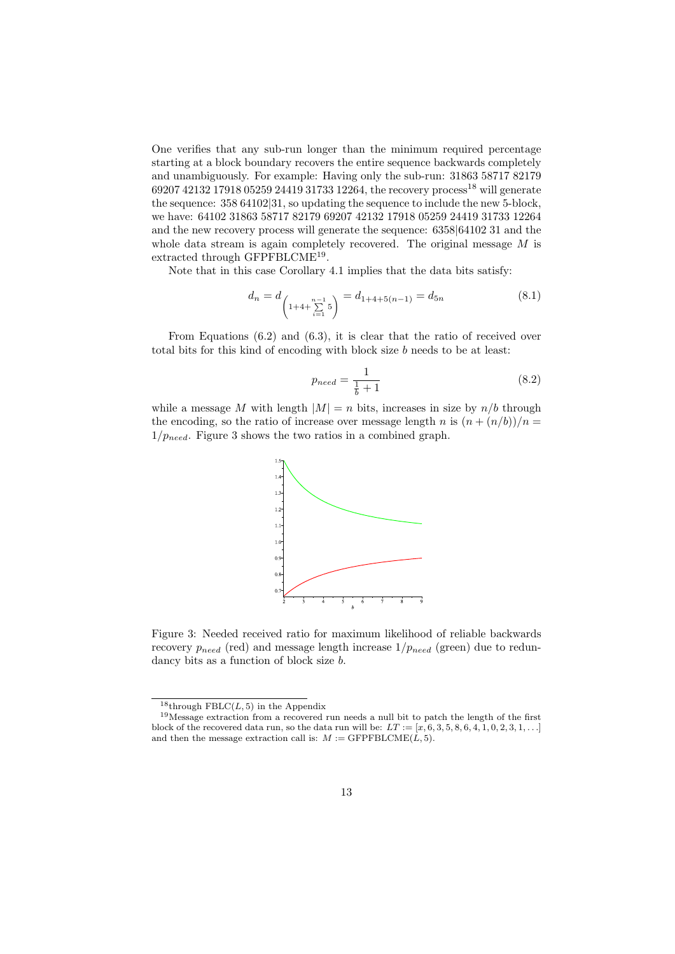One verifies that any sub-run longer than the minimum required percentage starting at a block boundary recovers the entire sequence backwards completely and unambiguously. For example: Having only the sub-run: 31863 58717 82179 69207 42132 17918 05259 24419 31733 12264, the recovery process<sup>18</sup> will generate the sequence: 358 64102*|*31, so updating the sequence to include the new 5-block, we have: 64102 31863 58717 82179 69207 42132 17918 05259 24419 31733 12264 and the new recovery process will generate the sequence: 6358*|*64102 31 and the whole data stream is again completely recovered. The original message *M* is extracted through GFPFBLCME<sup>19</sup>.

Note that in this case Corollary 4.1 implies that the data bits satisfy:

$$
d_n = d_{\left(1+4+\sum_{i=1}^{n-1} 5\right)} = d_{1+4+5(n-1)} = d_{5n}
$$
\n(8.1)

From Equations (6.2) and (6.3), it is clear that the ratio of received over total bits for this kind of encoding with block size *b* needs to be at least:

$$
p_{need} = \frac{1}{\frac{1}{b} + 1} \tag{8.2}
$$

while a message *M* with length  $|M| = n$  bits, increases in size by  $n/b$  through the encoding, so the ratio of increase over message length *n* is  $(n + (n/b))/n =$ 1*/pneed*. Figure 3 shows the two ratios in a combined graph.



Figure 3: Needed received ratio for maximum likelihood of reliable backwards recovery  $p_{need}$  (red) and message length increase  $1/p_{need}$  (green) due to redundancy bits as a function of block size *b*.

<sup>&</sup>lt;sup>18</sup>through FBLC $(L, 5)$  in the Appendix

<sup>19</sup>Message extraction from a recovered run needs a null bit to patch the length of the first block of the recovered data run, so the data run will be:  $LT := [x, 6, 3, 5, 8, 6, 4, 1, 0, 2, 3, 1, \ldots]$ and then the message extraction call is:  $M := \text{GFPFBLCME}(L, 5)$ .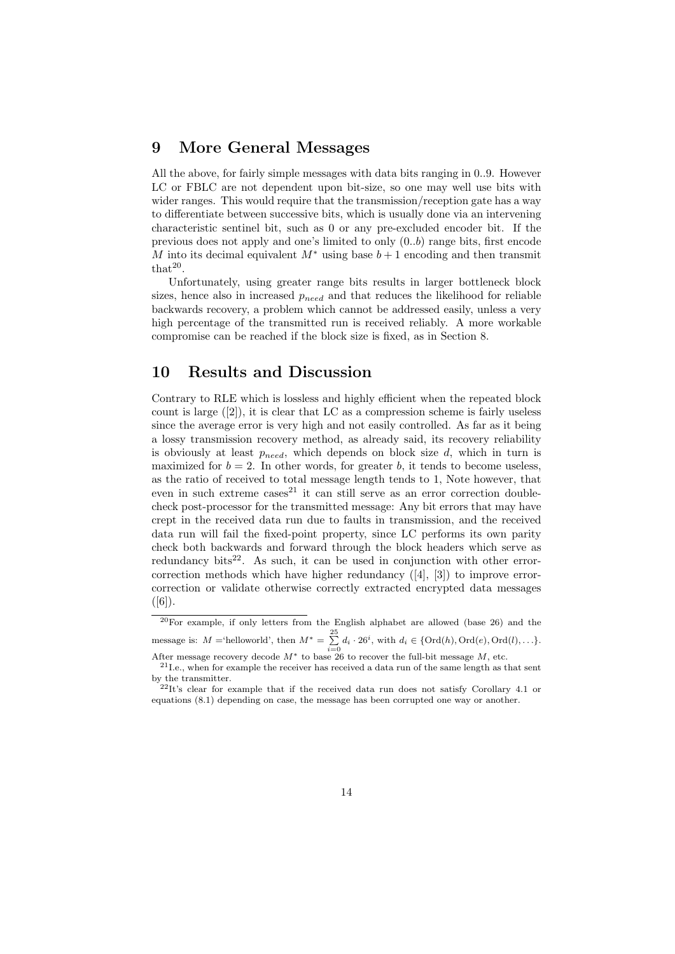#### **9 More General Messages**

All the above, for fairly simple messages with data bits ranging in 0..9. However LC or FBLC are not dependent upon bit-size, so one may well use bits with wider ranges. This would require that the transmission/reception gate has a way to differentiate between successive bits, which is usually done via an intervening characteristic sentinel bit, such as 0 or any pre-excluded encoder bit. If the previous does not apply and one's limited to only (0*..b*) range bits, first encode *M* into its decimal equivalent  $M^*$  using base  $b+1$  encoding and then transmit  $that<sup>20</sup>$ .

Unfortunately, using greater range bits results in larger bottleneck block sizes, hence also in increased *pneed* and that reduces the likelihood for reliable backwards recovery, a problem which cannot be addressed easily, unless a very high percentage of the transmitted run is received reliably. A more workable compromise can be reached if the block size is fixed, as in Section 8.

#### **10 Results and Discussion**

Contrary to RLE which is lossless and highly efficient when the repeated block count is large  $([2])$ , it is clear that LC as a compression scheme is fairly useless since the average error is very high and not easily controlled. As far as it being a lossy transmission recovery method, as already said, its recovery reliability is obviously at least *pneed*, which depends on block size *d*, which in turn is maximized for  $b = 2$ . In other words, for greater *b*, it tends to become useless. as the ratio of received to total message length tends to 1, Note however, that even in such extreme  $\cos^{21}$  it can still serve as an error correction doublecheck post-processor for the transmitted message: Any bit errors that may have crept in the received data run due to faults in transmission, and the received data run will fail the fixed-point property, since LC performs its own parity check both backwards and forward through the block headers which serve as redundancy bits<sup>22</sup>. As such, it can be used in conjunction with other errorcorrection methods which have higher redundancy ([4], [3]) to improve errorcorrection or validate otherwise correctly extracted encrypted data messages  $([6])$ .

<sup>20</sup>For example, if only letters from the English alphabet are allowed (base 26) and the message is:  $M = \text{`helloworld'}, \text{then } M^* = \sum_{i=1}^{25}$  $\sum_{i=0}^{n} d_i \cdot 26^i$ , with  $d_i \in \{Ord(h), Ord(e), Ord(l), \ldots\}$ .

After message recovery decode *M∗* to base 26 to recover the full-bit message *M*, etc.  $21$ I.e., when for example the receiver has received a data run of the same length as that sent

by the transmitter.

 $^{22}$ It's clear for example that if the received data run does not satisfy Corollary 4.1 or equations (8.1) depending on case, the message has been corrupted one way or another.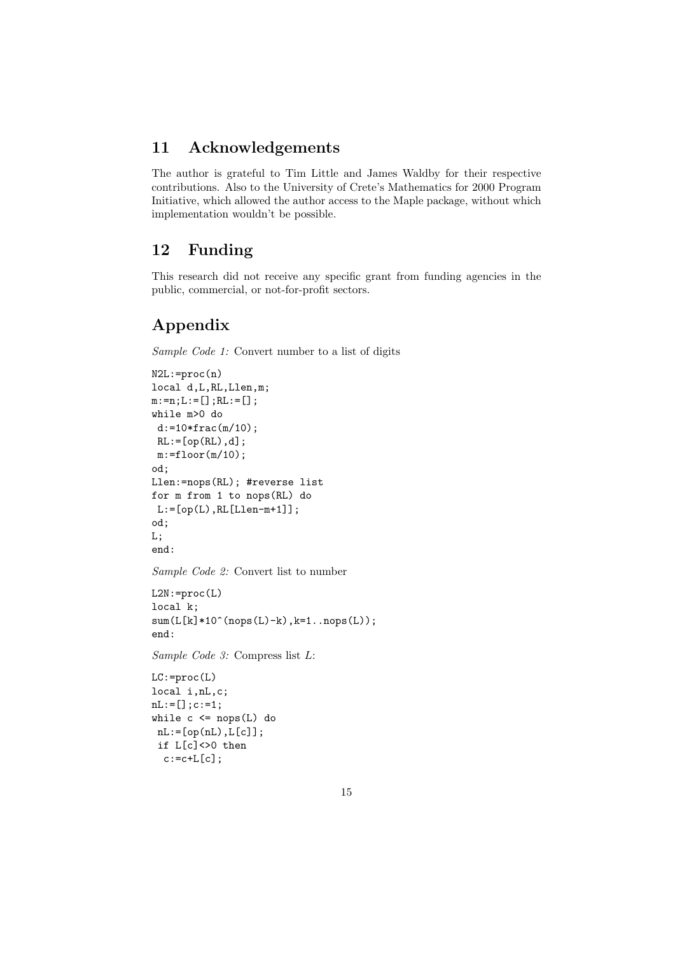## **11 Acknowledgements**

The author is grateful to Tim Little and James Waldby for their respective contributions. Also to the University of Crete's Mathematics for 2000 Program Initiative, which allowed the author access to the Maple package, without which implementation wouldn't be possible.

## **12 Funding**

This research did not receive any specific grant from funding agencies in the public, commercial, or not-for-profit sectors.

## **Appendix**

*Sample Code 1:* Convert number to a list of digits

```
N2L:=proc(n)
local d,L,RL,Llen,m;
m:=n; L:=[]; RL:=[];while m>0 do
d:=10*frac(m/10);RL:=[op(RL),d];m:=floor(m/10);od;
Llen:=nops(RL); #reverse list
for m from 1 to nops(RL) do
L:=[op(L),RL[Llen-m+1]];od;
L;
end:
Sample Code 2: Convert list to number
L2N:=proc(L)
local k;
sum(L[k]*10^(nops(L)-k),k=1..nops(L));end:
Sample Code 3: Compress list L:
LC: =proc(L)
```
local i,nL,c;  $nL:=[]$ ; c:=1; while  $c \leq nops(L)$  do  $nL:=[op(nL),L[c]]$ ; if L[c]<>0 then  $c:=c+L[c]$ ;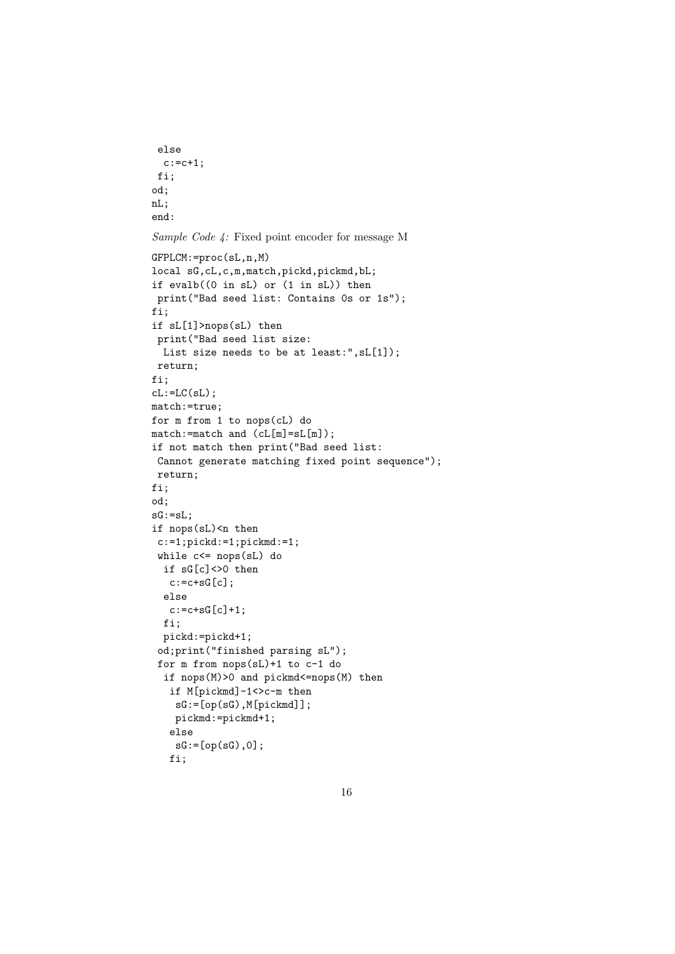```
else
 c:=c+1;fi;
od;
nL;
end:
```
*Sample Code 4:* Fixed point encoder for message M

```
GFPLCM:=proc(sL,n,M)
local sG,cL,c,m,match,pickd,pickmd,bL;
if evalb((0 in sL) or (1 in sL)) then
print("Bad seed list: Contains 0s or 1s");
fi;
if sL[1]>nops(sL) then
print("Bad seed list size:
 List size needs to be at least:",sL[1]);
return;
fi;
cL:=LC(sL);match:=true;
for m from 1 to nops(cL) do
\mathtt{match}:\mathtt{=match} and (\mathtt{cl[m]}=\mathtt{sl[m]}) ;
if not match then print("Bad seed list:
Cannot generate matching fixed point sequence");
return;
fi;
od;
sG:=sL;if nops(sL)<n then
c:=1;pickd:=1;pickmd:=1;
while c<= nops(sL) do
 if sG[c]<>0 then
   c:=c+sG[c];
  else
   c:=c+sG[c]+1;fi;
 pickd:=pickd+1;
 od;print("finished parsing sL");
 for m from nops(sL)+1 to c-1 do
  if nops(M)>0 and pickmd<=nops(M) then
   if M[pickmd]-1<>c-m then
    sG:=[op(sG),M[pickmd]];
    pickmd:=pickmd+1;
   else
    sG:=[op(sG),0];fi;
```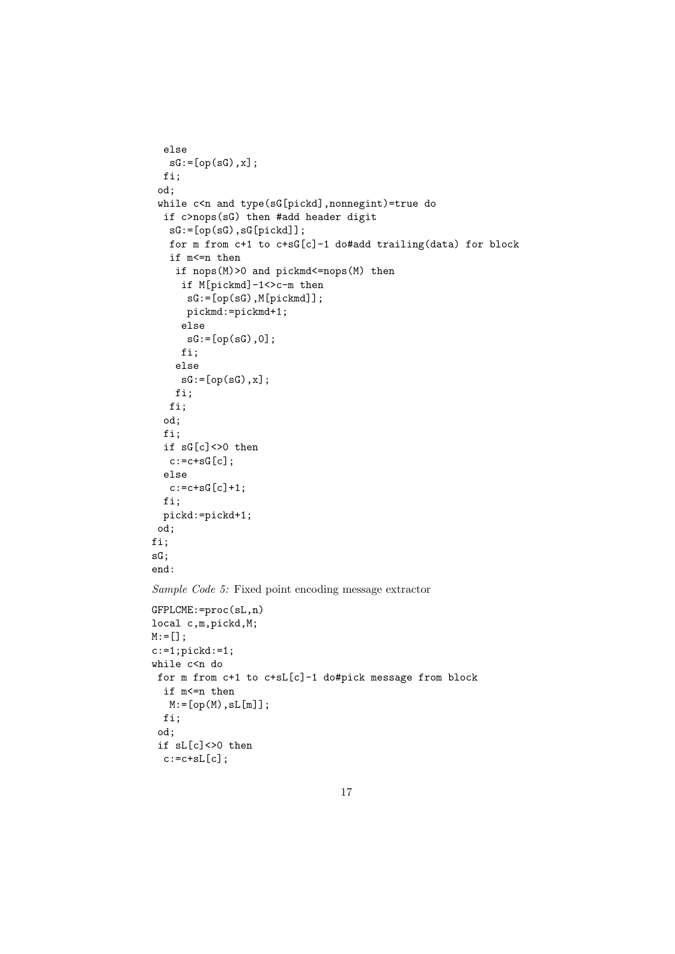```
else
  sG:=[op(sG),x];fi;
 od;
 while c<n and type(sG[pickd],nonnegint)=true do
 if c>nops(sG) then #add header digit
   sG:=[op(sG),sG[pickd]];
   for m from c+1 to c+sG[c]-1 do#add trailing(data) for block
   if m<=n then
    if nops(M)>0 and pickmd<=nops(M) then
     if M[pickmd]-1<>c-m then
      sG:=[op(sG),M[pickmd]];
     pickmd:=pickmd+1;
     else
      sG:=[op(sG),0];fi;
    else
     sG:=[op(sG),x];fi;
   fi;
  od;
 fi;
  if sG[c]<>0 then
  c:=c+sG[c];
 else
  c:=c+sG[c]+1;fi;
 pickd:=pickd+1;
od;
fi;
sG;
end:
Sample Code 5: Fixed point encoding message extractor
GFPLCME:=proc(sL,n)
local c,m,pickd,M;
M:=[];
c:=1; pickd:=1;
while c<n do
for m from c+1 to c+sL[c]-1 do#pick message from block
 if m<=n then
  M:=[op(M),sL[m]];
 fi;
 od;
 if sL[c]\leq0 then
 c:=c+sL[c];
```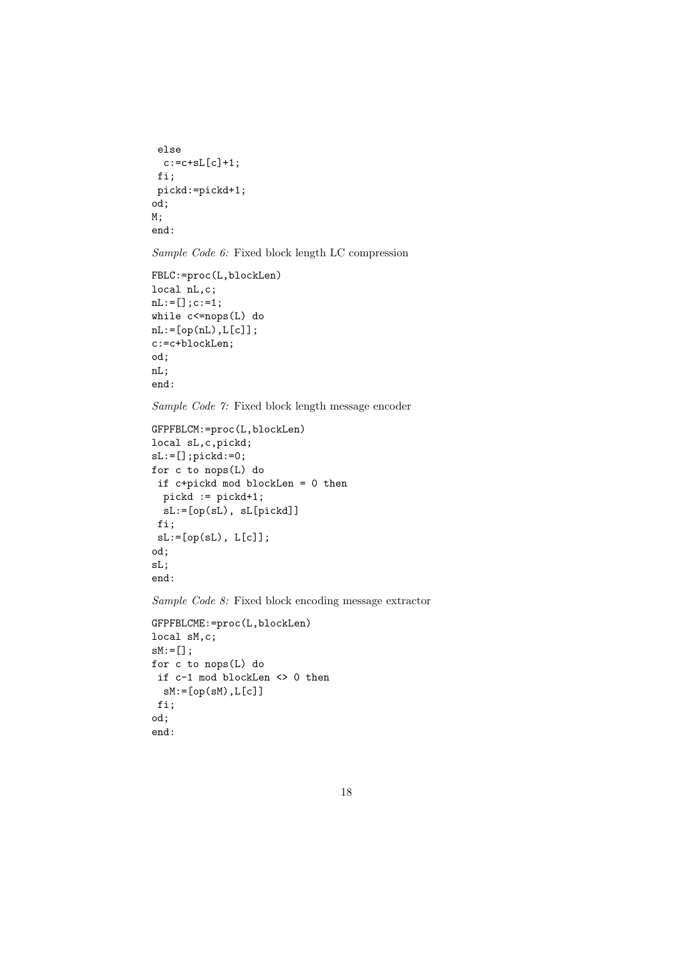```
else
 c:=c+sL[c]+1;fi;
pickd:=pickd+1;
od;
M;
end:
```
*Sample Code 6:* Fixed block length LC compression

```
FBLC:=proc(L,blockLen)
local nL,c;
nL:=[];c:=1;
while c<=nops(L) do
nL:=[op(nL),L[c]];
c:=c+blockLen;
od;
nL;
end:
```
*Sample Code 7:* Fixed block length message encoder

```
GFPFBLCM:=proc(L,blockLen)
local sL,c,pickd;
sL:=[];pickd:=0;
for c to nops(L) do
if c+pickd mod blockLen = 0 then
 pickd := pickd+1;
  sL:=[op(sL), sL[pickd]]
fi;
 sL:=[op(sL), L[c]];
od;
sL;
end:
```
*Sample Code 8:* Fixed block encoding message extractor

```
GFPFBLCME:=proc(L,blockLen)
local sM,c;
sM:=[];
for c to nops(L) do
if c-1 mod blockLen <> 0 then
 sM:=[op(sM),L[c]]fi;
od;
end:
```